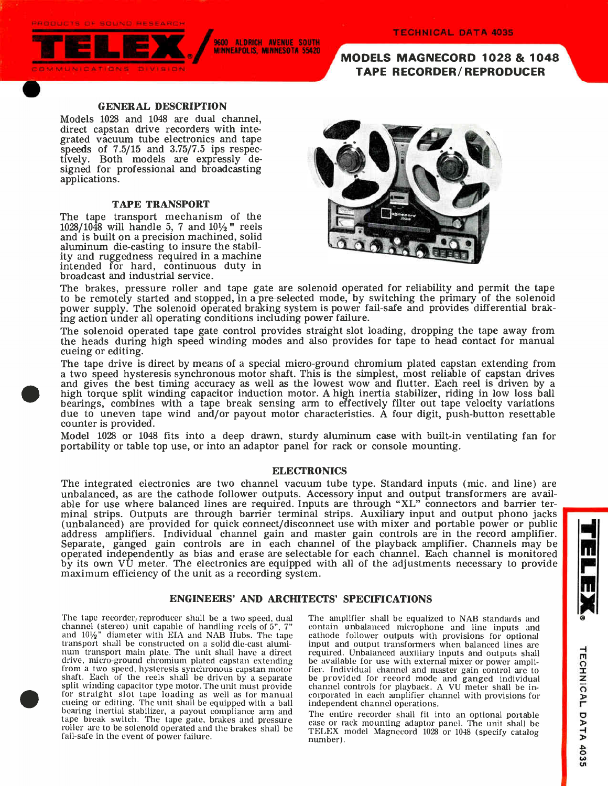PRODUCTS OF SOUND RESEARCH



9600 ALDRICH AVENUE SOUTH MINNEAPOLIS, MINNESOTA 55420

MODELS MAGNECORD 1028 & 1048 TAPE RECORDER/REPRODUCER

### GENERAL DESCRIPTION

Models 1028 and 1048 are dual channel, direct capstan drive recorders with integrated vacuum tube electronics and tape speeds of 7.5/15 and 3.75/7.5 ips respectively. Both models are expressly designed for professional and broadcasting applications.

### TAPE TRANSPORT

The tape transport mechanism of the  $1028/1048$  will handle 5, 7 and  $10\frac{1}{2}$  reels and is built on a precision machined, solid aluminum die-casting to insure the stability and ruggedness required in a machine intended for hard, continuous duty in broadcast and industrial service.



The brakes, pressure roller and tape gate are solenoid operated for reliability and permit the tape to be remotely started and stopped, in a pre-selected mode, by switching the primary of the solenoid power supply. The solenoid Operated braking system is power fail-safe and provides differential braking action under all operating conditions including power failure.

The solenoid operated tape gate control provides straight slot loading, dropping the tape away from the heads during high speed winding modes and also provides for tape to head contact for manual cueing or editing.

The tape drive is direct by means of a special micro-ground chromium plated capstan extending from a two speed hysteresis synchronous motor shaft. This is the simplest, most reliable of capstan drives and gives the best timing accuracy as well as the lowest wow and flutter. Each reel is driven by a high torque split winding capacitor induction motor. A high inertia stabilizer, riding in low loss ball bearings, combines with a tape break sensing arm to effectively filter out tape velocity variations due to uneven tape wind and/or payout motor characteristics. A four digit, push-button resettable counter is provided.

Model 1028 or 1048 fits into a deep drawn, sturdy aluminum case with built-in ventilating fan for portability or table top use, or into an adaptor panel for rack or console mounting.

### ELECTRONICS

The integrated electronics are two channel vacuum tube type. Standard inputs (mic. and line) are unbalanced, as are the cathode follower outputs. Accessory input and output transformers are available for use where balanced lines are required. Inputs are through "XL" connectors and barrier terminal strips. Outputs are through barrier terminal strips. Auxiliary input and output phono jacks (unbalanced) are provided for quick connect/disconnect use with mixer and portable power or public address amplifiers. Individual channel gain and master gain controls are in the record amplifier. T Separate, ganged gain controls are in each channel of the playback amplifier. Channels may be **f** operated independently as bias and erase are selectable for each channel. Each channel is monitored by its own VU meter. The electronics are equipped with all of the adjustments necessary to provide maximum efficiency of the unit as a recording system.

### ENGINEERS' AND ARCHITECTS' SPECIFICATIONS

The tape recorder, reproducer shall be a two speed, dual channel (stereo) unit capable of handling reels of 5",  $T^*$  and 10 $\frac{1}{2}$ " diameter with EIA and NAB Hubs. The tape transport shall be constructed on a solid die-cast aluminum transport main plate. The unit shall have a direct drive, micro-ground chromium plated capstan extending from a two speed, hysteresis synchronous capstan motor shaft. Each of the reels shall be driven by a separate split winding capacitor type motor. The unit must provide for straight slot tape loading as well as for manual cueing or editing. The unit shall be equipped with a ball bearing inertial stabilizer, a payout compliance arm and tape break switch. The tape gate, brakes and pressure roller are to be solenoid operated and the brakes shall be fail-safe in the event of power failure.

The amplifier shall be equalized to NAB standards and contain unbalanced microphone and line inputs and cathode follower outputs with provisions for optional input and output transformers when balanced lines are required. Unbalanced auxiliary inputs and outputs shall be available for use with external mixer or power amplifier. Individual channel and master gain control are to be provided for record mode and ganged individual channel controls for playback. A VU meter shall be incorporated in each amplifier channel with provisions for independent channel operations.

The entire recorder shall fit into an optional portable case or rack mounting adaptor panel. The unit shall be TELEX model Magnecord 1028 or 1048 (specify catalog number).

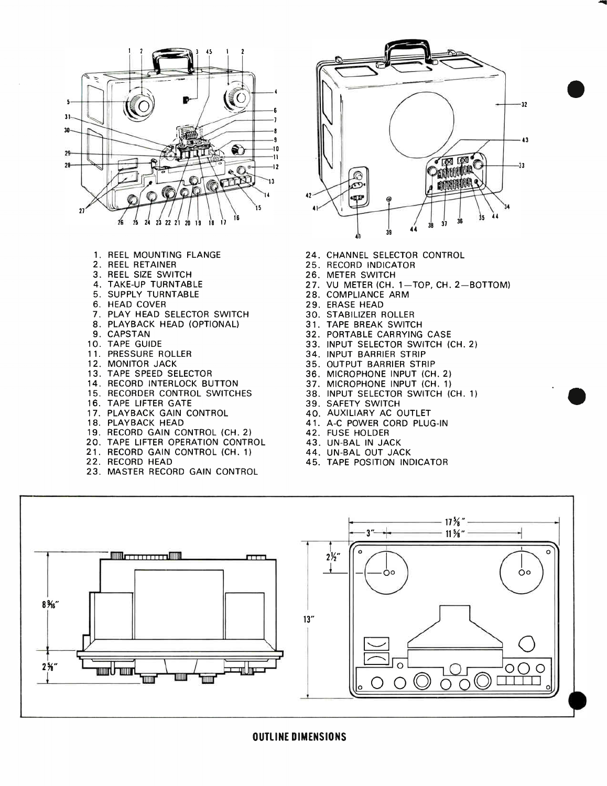

- 1. REEL MOUNTING FLANGE
- 2. REEL RETAINER
- 3. REEL SIZE SWITCH
- 4. TAKE-UP TURNTABLE
- 5. SUPPLY TURNTABLE
- 6. HEAD COVER
- 7. PLAY HEAD SELECTOR SWITCH
- 8. PLAYBACK HEAD (OPTIONAL)
- 9. CAPSTAN
- 10. TAPE GUIDE
- 11. PRESSURE ROLLER
- 12. MONITOR JACK
- 13. TAPE SPEED SELECTOR
- 14. RECORD INTERLOCK BUTTON
- 15. RECORDER CONTROL SWITCHES
- 16. TAPE LIFTER GATE
- 17. PLAYBACK GAIN CONTROL
- 18. PLAYBACK HEAD
- 19. RECORD GAIN CONTROL (CH. 2)
- 20. TAPE LIFTER OPERATION CONTROL
- 21. RECORD GAIN CONTROL (CH. 1)
- 22. RECORD HEAD
- 23. MASTER RECORD GAIN CONTROL



- 24. CHANNEL SELECTOR CONTROL
- 25. RECORD INDICATOR
- 26. METER SWITCH
- 27. VU METER (CH. 1-TOP, CH. 2-BOTTOM)
- 28. COMPLIANCE ARM
- 29. ERASE HEAD
- 30. STABILIZER ROLLER
- 31. TAPE BREAK SWITCH
- 32. PORTABLE CARRYING CASE
- 33. INPUT SELECTOR SWITCH (CH. 2)
- 34. INPUT BARRIER STRIP
- 35. OUTPUT BARRIER STRIP
- 36. MICROPHONE INPUT (CH. 2)
- 37. MICROPHONE INPUT (CH. 1)
- 38. INPUT SELECTOR SWITCH (CH. 1)

e

- 39. SAFETY SWITCH
- 40. AUXILIARY AC OUTLET
- 41. A-C POWER CORD PLUG-IN
- 42. FUSE HOLDER
- 43. UN -BAL IN JACK
- 44. UN -BAL OUT JACK
- 45. TAPE POSITION INDICATOR



OUTLINE DIMENSIONS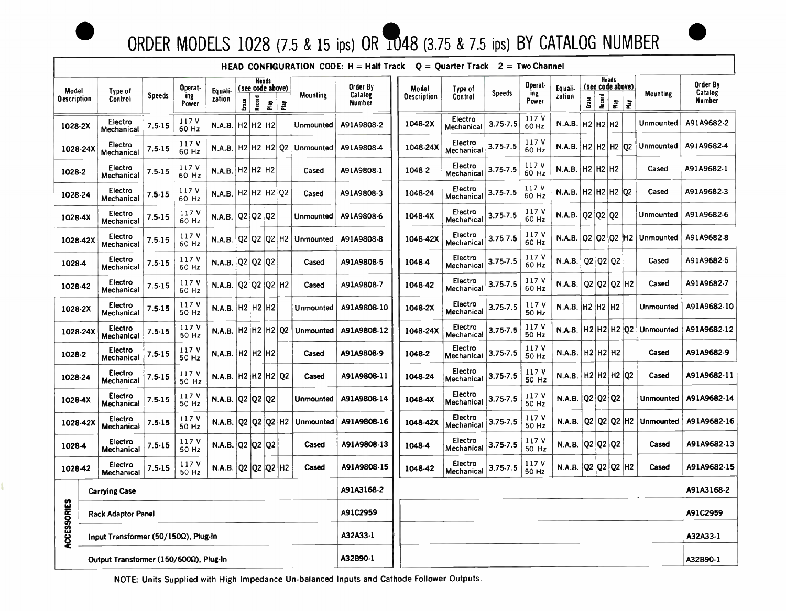

# ORDER MODELS 1028 (7.5 & 15 ips) OR 1048 (3.75 & 7.5 ips) BY CATALOG NUMBER



|                             |                                        |               |                         |                                                         |                           |                 |               |                     |                  | <b>HEAD CONFIGURATION CODE: H = Half Track</b> |                    | $Q =$ Quarter Track $2 =$ Two Channel |               |                |                                      |       |        |                      |                |                                 |                   |
|-----------------------------|----------------------------------------|---------------|-------------------------|---------------------------------------------------------|---------------------------|-----------------|---------------|---------------------|------------------|------------------------------------------------|--------------------|---------------------------------------|---------------|----------------|--------------------------------------|-------|--------|----------------------|----------------|---------------------------------|-------------------|
|                             |                                        |               | Operat-<br>ing<br>Power | Equali-<br>zation                                       | Heads<br>(see code above) |                 |               |                     |                  | Order By                                       | Model              | Type of                               |               | Operat-        | Heads<br>(see code above)<br>Equali- |       |        |                      |                |                                 | Order By          |
| Model<br><b>Oescription</b> | Type of<br>Control                     | <b>Speeds</b> |                         |                                                         | Erase                     | Record          | $\frac{1}{n}$ | 훈                   | <b>Mounting</b>  | Catalog<br>Number                              | <b>Oescription</b> | Control                               | <b>Speeds</b> | ing<br>Power   | zation                               | Erase | Record | $\tilde{\mathbf{r}}$ | Ē              | <b>Mounting</b>                 | Catalog<br>Number |
| 1028-2X                     | Electro<br>Mechanical                  | 7.5 15        | 117 V<br>60 Hz          | <b>N.A.B.</b>                                           |                           | H2 H2 H2        |               |                     | Unmounted        | A91A9808-2                                     | 1048-2X            | Electro<br>Mechanical                 | $3.75 - 7.5$  | 117 V<br>60 Hz | $N.A.B.$ H2 H2 H2                    |       |        |                      |                | Unmounted                       | A91A9682-2        |
| 1028-24X                    | Electro<br>Mechanical                  | $7.5 - 15$    | 117 V<br>60 Hz          | $N.A.B.$ H2 H2 H2 $Q2$                                  |                           |                 |               |                     | <b>Unmounted</b> | A91A9808-4                                     | 1048-24X           | Electro<br>Mechanical                 | $3.75 - 7.5$  | 117 V<br>60 Hz | N.A.B.  H2 H2 H2 Q2                  |       |        |                      |                | Unmounted                       | A91A9682-4        |
| 1028-2                      | Electro<br>Mechanical                  | $7.5 - 15$    | 117 V<br>60 Hz          | N.A.B.   H2   H2   H2                                   |                           |                 |               |                     | Cased            | A91A9808-1                                     | 1048-2             | Electro<br>Mechanical                 | $3.75 - 7.5$  | 117 V<br>60 Hz | $N.A.B.$ H2 H2 H2                    |       |        |                      |                | Cased                           | A91A9682-1        |
| 1028-24                     | Electro<br>Mechanical                  | $7.5 - 15$    | 117 V<br>60 Hz          | <b>N.A.B.</b>                                           |                           | H2  H2  H2   Q2 |               |                     | Cased            | A91A9808-3                                     | 1048-24            | Electro<br>Mechanical                 | $3.75 - 7.5$  | 117 V<br>60 Hz | N.A.B.   H2   H2   H2   Q2           |       |        |                      |                | Cased                           | A91A9682-3        |
| 1028-4X                     | Electro<br>Mechanical                  | $7.5 - 15$    | 117 V<br>60 Hz          | N.A.B. $Q2$ $Q2$ $Q2$                                   |                           |                 |               |                     | Unmounted        | A91A9808-6                                     | 1048-4X            | Electro<br>Mechanical                 | $3.75 - 7.5$  | 117 V<br>60 Hz | N.A.B. $\sqrt{Q^2 \sqrt{Q^2}} Q^2$   |       |        |                      |                | Unmounted                       | A91A9682-6        |
| 1028-42X                    | Electro<br>Mechanical                  | $7.5 - 15$    | 117 V<br>60 Hz          | <b>N.A.B.</b>                                           |                           |                 |               | Q2   Q2   Q2   H2   | Unmounted        | A91A9808-8                                     | 1048-42X           | Electro<br>Mechanical                 | $3.75 - 7.5$  | 117 V<br>60 Hz |                                      |       |        |                      |                | N.A.B. $ Q2 Q2 Q2$ H2 Unmounted | A91A9682-8        |
| 1028-4                      | Electro<br>Mechanical                  | $7.5 - 15$    | 117 V<br>60 Hz          | N.A.B. $\sqrt{Q^2 \sqrt{Q^2}} Q^2$                      |                           |                 |               |                     | Cased            | A91A9808-5                                     | 1048-4             | Electro<br>Mechanical                 | 3.75 7.5      | 117 V<br>60 Hz | N.A.B. $ Q2 Q2 Q2$                   |       |        |                      |                | Cased                           | A91A9682-5        |
| 1028-42                     | Electro<br>Mechanical                  | $7.5 - 15$    | 117 V<br>60 Hz          | <b>N.A.B.</b>                                           |                           |                 |               | $Q2$ $Q2$ $Q2$ $H2$ | Cased            | A91A9808-7                                     | 1048-42            | Electro<br>Mechanical                 | 3.75-7.5      | 117 V<br>60 Hz | N.A.B.   Q2   Q2   Q2   H2           |       |        |                      |                | Cased                           | A91A9682-7        |
| 1028-2X                     | Electro<br>Mechanical                  | $7.5 - 15$    | 117 V<br>50 Hz          | N.A.B. H2 H2 H2                                         |                           |                 |               |                     | Unmounted        | A91A9808-10                                    | 1048-2X            | Electro<br>Mechanical                 | $3.75 - 7.5$  | 117V<br>50 Hz  | N.A.B. $H2$ $H2$ $H2$                |       |        |                      |                | Unmounted                       | A91A9682-10       |
| 1028-24X                    | Electro<br>Mechanical                  | $7.5-15$      | 117 V<br>50 Hz          | <b>N.A.B.</b>                                           |                           |                 |               | H2 H2 H2 Q2         | Unmounted        | A91A9808-12                                    | 1048-24X           | Electro<br>Mechanica!                 | $3.75 - 7.5$  | 117 V<br>50 Hz | N.A.B.   H2   H2   H2   Q2           |       |        |                      |                | Unmounted                       | A91A9682-12       |
| 1028-2                      | Electro<br>Mechanical                  | $7.5 - 15$    | 117 V<br>50 Hz          | N.A.B.   H2   H2   H2                                   |                           |                 |               |                     | Cased            | A91A9808-9                                     | 1048-2             | Electro<br><b>Mechanical</b>          | $3.75 - 7.5$  | 117 V<br>50 Hz | N.A.B.   H2   H2   H2                |       |        |                      |                | Cased                           | A91A9682-9        |
| 1028-24                     | Electro<br>Mechanical                  | $7.5 - 15$    | 117 V<br>50 Hz          | N.A.B.  H2  H2  H2  Q2                                  |                           |                 |               |                     | Cased            | A91A9808-11                                    | 1048-24            | Electro<br>Mechanical                 | $3.75 - 7.5$  | 117 V<br>50 Hz | N.A.B.   H2   H2   H2   Q2           |       |        |                      |                | Cased                           | A91A9682-11       |
| 1028-4X                     | Electro<br>Mechanical                  | $7.5 - 15$    | 117 V<br>50 Hz          | N.A.B. $ Q2 Q2 Q2$                                      |                           |                 |               |                     | Unmounted        | A91A9808-14                                    | 1048-4X            | Electro<br>Mechanical                 | $3.75 - 7.5$  | 117 V<br>50 Hz | N.A.B. $ Q2 Q2 Q2$                   |       |        |                      |                | Unmounted                       | A91A9682-14       |
| 1028-42X                    | Electro<br>Mechanical                  | $7.5 - 15$    | 117 V<br>50 Hz          | N.A.B. $\left $ Q2 $\left $ Q2 $\left $ Q2 $\right $ H2 |                           |                 |               |                     | Unmounted        | A91A9808-16                                    | 1048-42X           | Electro<br>Mechanical                 | $3.75 - 7.5$  | 117 V<br>50 Hz | N.A.B.                               |       |        |                      | Q2  Q2  Q2  H2 | Unmounted                       | A91A9682-16       |
| 1028-4                      | Electro<br>Mechanical                  | $7.5 - 15$    | 117 V<br>50 Hz          | N.A.B. $ Q2 Q2 Q2$                                      |                           |                 |               |                     | Cased            | A91A9808-13                                    | 1048-4             | Electro<br>Mechanical                 | $3.75 - 7.5$  | 117 V<br>50 Hz | N.A.B. Q2 Q2 Q2                      |       |        |                      |                | Cased                           | A91A9682-13       |
| 1028-42                     | Electro<br>Mechanical                  | $7.5-15$      | 117 V<br>50 Hz          | <b>N.A.B.</b>                                           | Q <sub>2</sub>            | Q2              |               | Q2 H2               | Cased            | A91A9808-15                                    | 1048-42            | Electro<br>Mechanical                 | $3.75 - 7.5$  | 117 V<br>50 Hz | $N.A.B.$ Q2                          |       |        |                      | Q2  Q2  H2     | Cased                           | A91A9682-15       |
| ပ္မ                         | <b>Carrying Case</b>                   |               |                         |                                                         |                           |                 |               |                     | A91A3168-2       |                                                |                    |                                       |               |                |                                      |       |        |                      |                | A91A3168-2                      |                   |
|                             | Rack Adaptor Panel                     |               |                         |                                                         |                           |                 |               | A91C2959            |                  |                                                |                    |                                       |               |                |                                      |       |        |                      | A91C2959       |                                 |                   |
| <b>ACCESSORI</b>            | Input Transformer (50/150Ω), Plug-In   |               |                         |                                                         |                           |                 |               | A32A33-1            |                  |                                                |                    |                                       |               |                |                                      |       |        |                      | A32A33-1       |                                 |                   |
|                             | Output Transformer (150/600Ω), Plug-In |               |                         |                                                         |                           |                 |               |                     |                  | A32B90-1                                       |                    |                                       |               |                |                                      |       |        |                      |                |                                 | A32B90-1          |

NOTE: Units Supplied with High Impedance Un -balanced Inputs and Cathode Follower Outputs.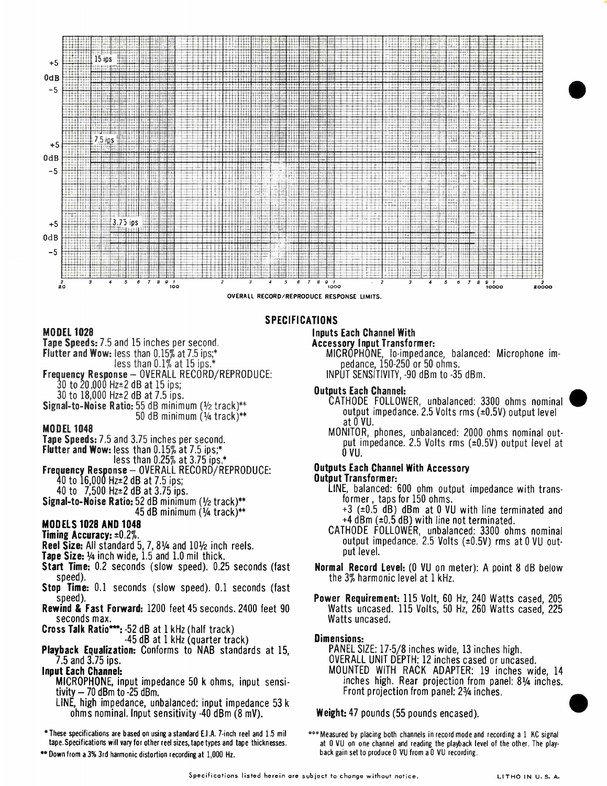

### SPECIFICATIONS

### MODEL 1028

- Tape Speeds: 7.5 and 15 inches per second.
- Flutter and Wow: less than 0.15% at 7.5 ips;\*
- less than 0.1% at 15 ips.\*
- Frequency Response OVERALL RECORD/REPRODUCE:  $30$  to  $20,000$  Hz $\pm$ 2 dB at 15 ips;
- $30 \text{ to } 20,000 \text{ Hz-}2 \text{ dB at } 7.5 \text{ lbs.}$  Outputs Each Channel:
- 

- 
- Flutter and Wow: less than  $0.15\%$  at 7.5 ips;\*  $0 \times 10^{-4}$
- icss than 0.25% at 3.75 ips.  $\sim$
- Frequency Response OVERALL RECORD/REPRODUCE: 0 00tputs Each Channel With Accessory<br>40 to 16 000 Hz±2 dB at 7 5 ins: 0 00thermere 0 00tput Transformer:  $40$  to  $16,000$  Hz $\pm 2$  dB at 7.5 ips;
- Signal-to-Noise Ratio:  $52$  dB minimum  $(1/2 \text{ track})^{**}$
- 

- 
- **Tape Size:**  $\frac{1}{4}$  inch wide, 1.5 and 1.0 mil thick.
- Start Time: 0.2 seconds (slow speed). 0.25 seconds (fast Normal Record Level: (0 VU on meter): A point 8 dB below<br>speed). Une 3% harmonic level at 1 kHz.
- Stop Time: 0.1 seconds (slow speed). 0.1 seconds (fast
- 
- seconds max.<br>**Cross Talk Ratio\*\*\*:** -52 dB at 1 kHz (half track)
- 
- **Playback Equalization:** Conforms to NAB standards at 15, 7.5 and 3.75 ips. OVERALL UNIT DEPTH: 12 inches cased or uncased.

- MICROPHONE, input impedance 50 k ohms, input sensitivity  $-$  70 dBm to -25 dBm. Front projection from panel: 2 $\frac{3}{4}$  inches.
- LINE, high impedance, unbalanced: input impedance 53 k ohms nominal. Input sensitivity -40 dBm (8 mV).

\*These specifications are based on using a standard E.I.A. 7-inch reel and 1.5 mil tape. Specifications will vary for other reel sizes, tape types and tape thicknesses.

\*\*Down from a 3% 3rd harmonic distortion recording at 1,000 Hz.

# Inputs Each Channel With

- Accessory Input Transformer:
	- MICROPHONE, lo-impedance, balanced: Microphone impedance, 150-250 or 50 ohms.
	- INPUT SENSITIVITY, -90 dBm to -35 dBm.

- CATHODE FOLLOWER, unbalanced: 3300 ohms nominal Signal-to-Noise Ratio: 55 dB minimum (1/2 track)\*\* output impedance. 2.5 Volts rms (±0.5V) output level<br>output impedance. 2.5 Volts rms (±0.5V) output level at 0 VU.
- MODEL 1048<br>Tape Speeds: 7.5 and 3.75 inches per second.<br>But impedance, 2.5 Volts rms (±0.5V) output level at put impedance. 2.5 Volts rms ( $\pm$ 0.5V) output level at

- 40 to  $\frac{7}{500}$  Hz $\pm$ 2 dB at 3.75 ips.<br> **hal-to-Noise Ratio:** 52 dB minimum (1/2 track)\*\* **Example 10** former, taps for 150 ohms.
- 45 dB minimum  $(44 \text{ track})^{**}$  +3 ( $\pm 0.5$  dB) dBm at 0 VU with line terminated and **MODELS 1028 AND 1048**  $\overrightarrow{AB}$   $\overrightarrow{AB}$   $\overrightarrow{AB}$   $\overrightarrow{AB}$   $\overrightarrow{AB}$  and  $\overrightarrow{AB}$  and  $\overrightarrow{AB}$  and  $\overrightarrow{AB}$  and  $\overrightarrow{AB}$  and  $\overrightarrow{AB}$  and  $\overrightarrow{AB}$  and  $\overrightarrow{AB}$  and  $\overrightarrow{AB}$  and  $\overrightarrow{AB}$  and  $\overrightarrow{AB}$  and  $\overrightarrow{AB}$  and  $\overrightarrow{AB$
- Timing Accuracy:  $\pm 0.2\%$ .<br>
Timing Accuracy:  $\pm 0.2\%$ .<br>
Reel Size: All standard 5, 7, 8¼ and 10½ inch reels.<br>  $\pm 0.5\%$  and  $\pm 0.0\%$  at 0 NU out-<br>  $\pm 0.5\%$ . put level.
	- the  $3\%$  harmonic level at 1 kHz.
- speed). Power Requirement: 115 Volt, 60 Hz, 240 Watts cased, 205 Watts uncased. 115 Volts, 50 Hz, 260 Watts cased, 225 Watts uncased.

<sup>-45</sup> dB at 1 kHz (quarter track)<br>**Dimensions:** Dimensions: Damagner and the standard at 15.<br>PANEL SIZE: 17-5/8 inches wide, 13 inches high. Input Each Channel: MOUNTED WITH RACK ADAPTER: 19 inches wide, 14

Weight: 47 pounds (55 pounds encased).

\*\*\* Measured by placing both channels in record mode and recording a 1 KC signal at 0 VU on one channel and reading the playback level of the other. The playback gain set to produce 0 VU from a 0 VU recording.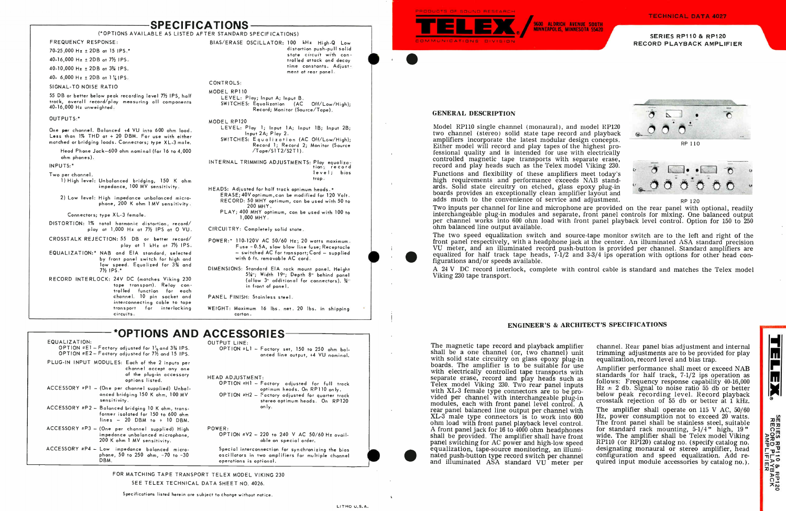# SPECIFICATIONS

### (\*OPTIONS AVAILABLE AS LISTED AFTER STANDARD SPECIFICATIONS)

FREQUENCY RESPONSE:

70-25,000 Hz ± 2DB at 15 IPS.\*

40-16,000 Hz ± 2DB at IPS.

40-10,000 Hz ± 2DB at IPS.

40- 6,000 Hz  $\pm$  2DB at 1  $\frac{7}{4}$  IPS.

SIGNAL-TO NOISE RATIO

55 DB or better below peak recording level IPS, half track, overall record/play measuring all components 40-16,000 Hz unweighted.

#### OUTPUTS:\*

One per channel. Balanced +4 VU into 600 ohm load. Less than 1% THD at + 20 DBM. For use with either matched or bridging loads. Connectors; type XL-3 male.

Head Phone Jack-600 ohm nominal (for 16 to 4,000 ohm phones).

INPUTS:\*

Two per channel.

1) High level: Unbalanced bridging, 150 K ohm impedance, 100 MV sensitivity.

LEVEL: Play; Input A; Input B. SWITCHES: Equalization (AC Off/Low/High); Record; Monitor (Source/Tape).

2) Low level: High impedance unbalanced microphone, 200 K ohm 1 MV sensitivity.

Connectors; type XL-3 female.

- DISTORTION: 1% total harmonic distortion, record/ play at 1,000 Hz at IPS at 0 VU.
- CROSSTALK REJECTION: 55 DB or better record' play at 1 kHz at 71/2 IPS.
- EQUALIZATION:\* NAB and EIA standard, selected by front panel switch for high and low speed. Equalized for 31/4 and  $7\frac{1}{2}$  IPS.
- RECORD INTERLOCK: 24V DC (matches Viking 230 tape transport). Relay controlled function for each channel. 10 pin socket and interconnecting cable to tape transport for interlocking circuits.

BIAS/ERASE OSCILLATOR: 100 kHz High-O Low distortion push-pull solid state circuit with controlled attack and decay time constants. Adjust-

sensitivity. ACCESSORY #P2 - Balanced bridging 10 K ohm, trans-

 $ACCESSORY * P3 - (One per channel supplied) High$ 

ACCESSORY #P4 - Low impedance balanced micro-

ment at rear panel.

former isolated for 150 to 600 ohm  $lines - 20$  DBM to + 10 DBM.

#### CONTROLS:

MODEL RP110

#### MODEL RP120

OPTION  $E1 -$  Factory adjusted for  $1\frac{7}{8}$  and 3% IPS. OPTION #E2 - Factory adjusted for  $7\frac{1}{2}$  and 15 IPS. OPTION  $k =$  Factory set, 150 to 250 ohm balanced line output, +4 VU nominal.

LEVEL: Play 1; Input 1A; Input 1B; Input 2B; Input 2A; Play 2.

SWITCHES: Equalization (AC Off/Low/High); Record 1; Record 2; Monitor (Source  $/T$ ape $/SIT2/S2TI$ .

OPTION #H1 - Factory adjusted for full track optimum heads. On RP110 only. OPTION  $*H2$  - Factory adjusted for quarter track stereo optimum heads. On RP120 only.

OPTION  $N/2$  - 220 to 240 V AC 50/60 Hz available on special order.

INTERNAL TRIMMING ADJUSTMENTS: Play equalization; record level; bias

FOR MATCHING TAPE TRANSPORT TELEX MODEL VIKING 230 SEE TELEX TECHNICAL DATA SHEET NO. 4026.

trap.

- HEADS: Adjusted for half track optimum heads.\* ERASE; 40V optimum,can be modified for 120 Volt. RECORD: 50 MHY optimum, can be used with 50 to 200 MHY.
	- PLAY; 400 MHY optimum, can be used with 100 to 1,000 MHY.

CIRCUITRY: Completely solid state.

- POWER:\* 110-120V AC 50'60 Hz; 20 watts maximum. Fuse -0.5A, slow blow line fuse; Receptacle - switched AC for transport; Cord - supplied with 6 ft. removable AC cord.
- DIMENSIONS: Standard EIA rack mount panel. Height 51/4": Width 19"; Depth 8" behind panel (allow  $3$ " additional for connectors).  $\frac{3}{4}$ " in front of panel.

PANEL FINISH: Stainless steel.

WEIGHT: Maximum 16 lbs. net. 20 lbs. in shipping carton.

## \*OPTIONS AND ACCESSORIES

EQUALIZATION:

PLUG-IN INPUT MODULES: Each of the 2 inputs per

 $ACCESSORY * PI = (One per channel supplied) Unbal-$ 

channel accept any one of the plug-in accessory

options listed.

SERIES RP110 & RP120 RECORD PLAYBACK AMPLIFIER

anced bridging 150 K ohm, 100 MV

impedance unbalanced microphone, 200 K ohm 1 MV sensitivity.

phone, 50 to 250 ohm, -70 to -30

DBM.

OUTPUT LINE:

### HEAD ADJUSTMENT:

POWER:

Special interconnection for synchronizing the bias osci Ilators in two amplifiers for multiple channel operations is optional.

equaliza<br>
equaliza<br>
mated pu<br>
and illu The magnetic tape record and playback amplifier shall be a one channel (or, two channel) unit with solid state circuitry on glass epoxy plug-in boards. The amplifier is to be suitable for use with electrically controlled tape transports with separate erase, record and play heads such as Telex model Viking 230. Two rear panel inputs with XL-3 female type connectors are to be provided per channel with interchangeable plug-in modules, each with front panel level control. A rear panel balanced line output per channel with XL-3 male type connectors is to work into 600 ohm load with front panel playback level control. A front panel jack for 16 to 4000 ohm headphones shall be provided. The amplifier shall have front panel switching for AC power and high-low speed equalization, tape-source monitoring, an illuminated push-button type record switch per channel and illuminated ASA standard VU meter per channel. Rear panel bias adjustment and internal trimming adjustments are to be provided for play equalization, record level and bias trap. Amplifier performance shall meet or exceed NAB standards for half track, 7-1/2 ips operation as follows: Frequency response capability 40-16,000  $Hz = 2$  db. Signal to noise ratio 55 db or better below peak recording level. Record playback crosstalk rejection of 55 db or better at 1 kHz. The amplifier shall operate on 115 V AC, 50/60 Hz, power consumption not to exceed 20 watts. The front panel shall be stainless steel, suitable for standard rack mounting, 5-1/4" high, 19" wide. The amplifier shall be Telex model Viking RP110 (or RP120) catalog no. (specify catalog no. designating monaural or stereo amplifier, head configuration and speed equalization. Add required input module accessories by catalog no.).

•

DUCTS OF SOUND me SEARCH





#### GENERAL DESCRIPTION

Model RP110 single channel (monaural), and model RP120 two channel (stereo) solid state tape record and playback amplifiers incorporate the latest modular design concepts. Either model will record and play tapes of the highest professional quality and is intended for use with electrically controlled magnetic tape transports with separate erase, record and play heads such as the Telex model Viking 230. Functions and flexibility of these amplifiers meet today's high requirements and performance exceeds NAB standards. Solid state circuitry on etched, glass epoxy plug-in boards provides an exceptionally clean amplifier layout and adds much to the convenience of service and adjustment.

Two inputs per channel for line and microphone are provided on the rear panel with optional, readily interchangeable plug-in modules and separate, front panel controls for mixing. One balanced output per channel works into 600 ohm load with front panel playback level control. Option for 150 to 250 ohm balanced line output available.

The two speed equalization switch and source-tape monitor switch are to the left and right of the front panel respectively, with a headphone jack at the center. An illuminated ASA standard precision VU meter, and an illuminated record push-button is provided per channel. Standard amplifiers are equalized for half track tape heads, 7-1/2 and 3-3/4 ips operation with options for other head configurations and/or speeds available.

A 24 V DC record interlock, complete with control cable is standard and matches the Telex model Viking 230 tape transport.





RP 120

### ENGINEER'S & ARCHITECT'S SPECIFICATIONS



**SERIES RP110 & RP12C<br>RECORD PLAYBACK<br>RECORD PLAYBACK**